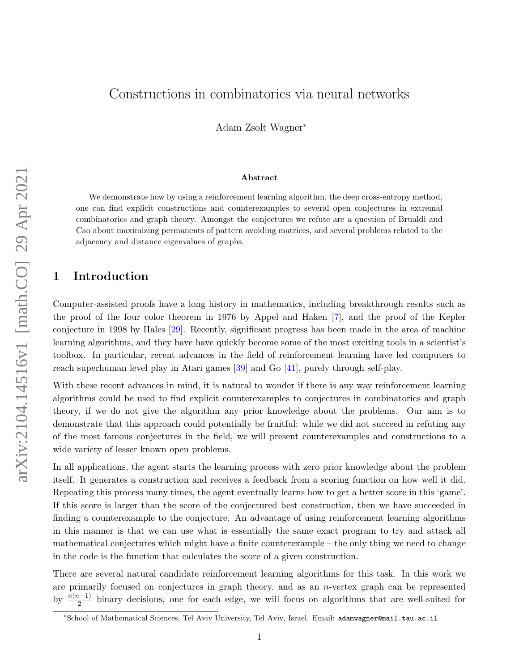# Constructions in combinatorics via neural networks

Adam Zsolt Wagner<sup>∗</sup>

#### Abstract

We demonstrate how by using a reinforcement learning algorithm, the deep cross-entropy method, one can find explicit constructions and counterexamples to several open conjectures in extremal combinatorics and graph theory. Amongst the conjectures we refute are a question of Brualdi and Cao about maximizing permanents of pattern avoiding matrices, and several problems related to the adjacency and distance eigenvalues of graphs.

## 1 Introduction

Computer-assisted proofs have a long history in mathematics, including breakthrough results such as the proof of the four color theorem in 1976 by Appel and Haken [\[7\]](#page-19-0), and the proof of the Kepler conjecture in 1998 by Hales [\[29\]](#page-20-0). Recently, significant progress has been made in the area of machine learning algorithms, and they have have quickly become some of the most exciting tools in a scientist's toolbox. In particular, recent advances in the field of reinforcement learning have led computers to reach superhuman level play in Atari games [\[39\]](#page-21-0) and Go [\[41\]](#page-21-1), purely through self-play.

With these recent advances in mind, it is natural to wonder if there is any way reinforcement learning algorithms could be used to find explicit counterexamples to conjectures in combinatorics and graph theory, if we do not give the algorithm any prior knowledge about the problems. Our aim is to demonstrate that this approach could potentially be fruitful: while we did not succeed in refuting any of the most famous conjectures in the field, we will present counterexamples and constructions to a wide variety of lesser known open problems.

In all applications, the agent starts the learning process with zero prior knowledge about the problem itself. It generates a construction and receives a feedback from a scoring function on how well it did. Repeating this process many times, the agent eventually learns how to get a better score in this 'game'. If this score is larger than the score of the conjectured best construction, then we have succeeded in finding a counterexample to the conjecture. An advantage of using reinforcement learning algorithms in this manner is that we can use what is essentially the same exact program to try and attack all mathematical conjectures which might have a finite counterexample – the only thing we need to change in the code is the function that calculates the score of a given construction.

There are several natural candidate reinforcement learning algorithms for this task. In this work we are primarily focused on conjectures in graph theory, and as an n-vertex graph can be represented by  $\frac{n(n-1)}{2}$  binary decisions, one for each edge, we will focus on algorithms that are well-suited for

<sup>∗</sup>School of Mathematical Sciences, Tel Aviv University, Tel Aviv, Israel. Email: adamwagner@mail.tau.ac.il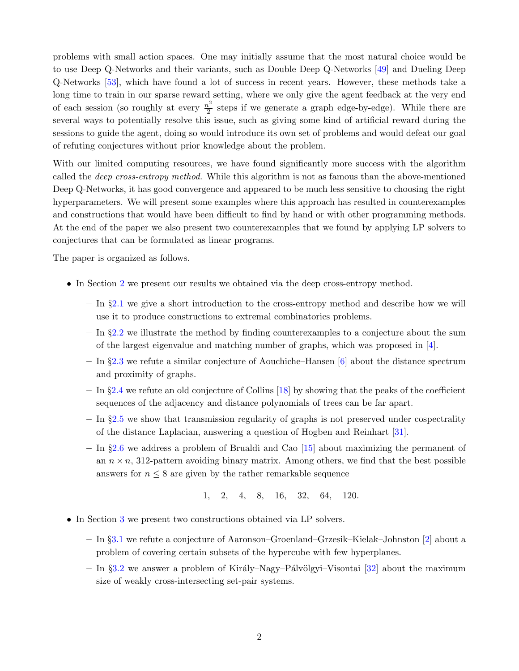problems with small action spaces. One may initially assume that the most natural choice would be to use Deep Q-Networks and their variants, such as Double Deep Q-Networks [\[49\]](#page-21-2) and Dueling Deep Q-Networks [\[53\]](#page-21-3), which have found a lot of success in recent years. However, these methods take a long time to train in our sparse reward setting, where we only give the agent feedback at the very end of each session (so roughly at every  $\frac{n^2}{2}$  $\frac{b^2}{2}$  steps if we generate a graph edge-by-edge). While there are several ways to potentially resolve this issue, such as giving some kind of artificial reward during the sessions to guide the agent, doing so would introduce its own set of problems and would defeat our goal of refuting conjectures without prior knowledge about the problem.

With our limited computing resources, we have found significantly more success with the algorithm called the *deep cross-entropy method*. While this algorithm is not as famous than the above-mentioned Deep Q-Networks, it has good convergence and appeared to be much less sensitive to choosing the right hyperparameters. We will present some examples where this approach has resulted in counterexamples and constructions that would have been difficult to find by hand or with other programming methods. At the end of the paper we also present two counterexamples that we found by applying LP solvers to conjectures that can be formulated as linear programs.

The paper is organized as follows.

- In Section [2](#page-2-0) we present our results we obtained via the deep cross-entropy method.
	- In §[2.1](#page-2-1) we give a short introduction to the cross-entropy method and describe how we will use it to produce constructions to extremal combinatorics problems.
	- In §[2.2](#page-4-0) we illustrate the method by finding counterexamples to a conjecture about the sum of the largest eigenvalue and matching number of graphs, which was proposed in [\[4\]](#page-19-1).
	- In §[2.3](#page-5-0) we refute a similar conjecture of Aouchiche–Hansen [\[6\]](#page-19-2) about the distance spectrum and proximity of graphs.
	- $-$  In §[2.4](#page-8-0) we refute an old conjecture of Collins [\[18\]](#page-20-1) by showing that the peaks of the coefficient sequences of the adjacency and distance polynomials of trees can be far apart.
	- $-$  In §[2.5](#page-11-0) we show that transmission regularity of graphs is not preserved under cospectrality of the distance Laplacian, answering a question of Hogben and Reinhart [\[31\]](#page-20-2).
	- In §[2.6](#page-12-0) we address a problem of Brualdi and Cao [\[15\]](#page-19-3) about maximizing the permanent of an  $n \times n$ , 312-pattern avoiding binary matrix. Among others, we find that the best possible answers for  $n \leq 8$  are given by the rather remarkable sequence

1, 2, 4, 8, 16, 32, 64, 120.

- In Section [3](#page-16-0) we present two constructions obtained via LP solvers.
	- In §[3.1](#page-16-1) we refute a conjecture of Aaronson–Groenland–Grzesik–Kielak–Johnston [\[2\]](#page-19-4) about a problem of covering certain subsets of the hypercube with few hyperplanes.
	- In §[3.2](#page-18-0) we answer a problem of Király–Nagy–Pálvölgyi–Visontai [\[32\]](#page-20-3) about the maximum size of weakly cross-intersecting set-pair systems.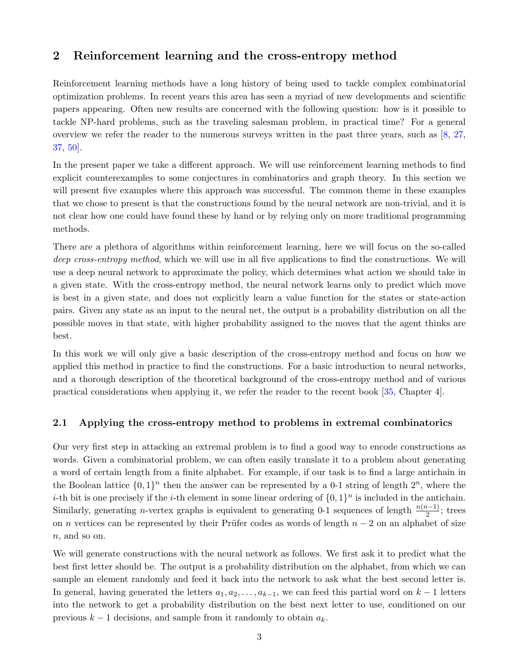# <span id="page-2-0"></span>2 Reinforcement learning and the cross-entropy method

Reinforcement learning methods have a long history of being used to tackle complex combinatorial optimization problems. In recent years this area has seen a myriad of new developments and scientific papers appearing. Often new results are concerned with the following question: how is it possible to tackle NP-hard problems, such as the traveling salesman problem, in practical time? For a general overview we refer the reader to the numerous surveys written in the past three years, such as [\[8,](#page-19-5) [27,](#page-20-4) [37,](#page-21-4) [50\]](#page-21-5).

In the present paper we take a different approach. We will use reinforcement learning methods to find explicit counterexamples to some conjectures in combinatorics and graph theory. In this section we will present five examples where this approach was successful. The common theme in these examples that we chose to present is that the constructions found by the neural network are non-trivial, and it is not clear how one could have found these by hand or by relying only on more traditional programming methods.

There are a plethora of algorithms within reinforcement learning, here we will focus on the so-called deep cross-entropy method, which we will use in all five applications to find the constructions. We will use a deep neural network to approximate the policy, which determines what action we should take in a given state. With the cross-entropy method, the neural network learns only to predict which move is best in a given state, and does not explicitly learn a value function for the states or state-action pairs. Given any state as an input to the neural net, the output is a probability distribution on all the possible moves in that state, with higher probability assigned to the moves that the agent thinks are best.

In this work we will only give a basic description of the cross-entropy method and focus on how we applied this method in practice to find the constructions. For a basic introduction to neural networks, and a thorough description of the theoretical background of the cross-entropy method and of various practical considerations when applying it, we refer the reader to the recent book [\[35,](#page-20-5) Chapter 4].

### <span id="page-2-1"></span>2.1 Applying the cross-entropy method to problems in extremal combinatorics

Our very first step in attacking an extremal problem is to find a good way to encode constructions as words. Given a combinatorial problem, we can often easily translate it to a problem about generating a word of certain length from a finite alphabet. For example, if our task is to find a large antichain in the Boolean lattice  $\{0,1\}^n$  then the answer can be represented by a 0-1 string of length  $2^n$ , where the *i*-th bit is one precisely if the *i*-th element in some linear ordering of  $\{0,1\}^n$  is included in the antichain. Similarly, generating n-vertex graphs is equivalent to generating 0-1 sequences of length  $\frac{n(n-1)}{2}$ ; trees on n vertices can be represented by their Prüfer codes as words of length  $n-2$  on an alphabet of size n, and so on.

We will generate constructions with the neural network as follows. We first ask it to predict what the best first letter should be. The output is a probability distribution on the alphabet, from which we can sample an element randomly and feed it back into the network to ask what the best second letter is. In general, having generated the letters  $a_1, a_2, \ldots, a_{k-1}$ , we can feed this partial word on  $k-1$  letters into the network to get a probability distribution on the best next letter to use, conditioned on our previous  $k - 1$  decisions, and sample from it randomly to obtain  $a_k$ .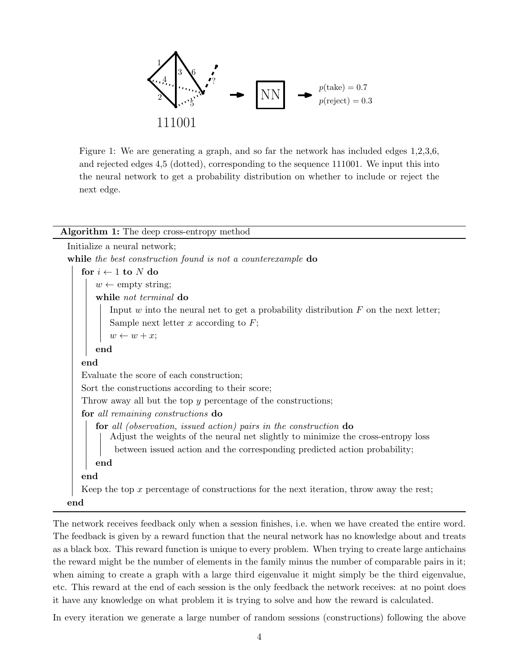

Figure 1: We are generating a graph, and so far the network has included edges 1,2,3,6, and rejected edges 4,5 (dotted), corresponding to the sequence 111001. We input this into the neural network to get a probability distribution on whether to include or reject the next edge.

#### Algorithm 1: The deep cross-entropy method

| Initialize a neural network;                                                                                                                          |
|-------------------------------------------------------------------------------------------------------------------------------------------------------|
| while the best construction found is not a counterexample do                                                                                          |
| for $i \leftarrow 1$ to N do                                                                                                                          |
| $w \leftarrow \text{empty string};$                                                                                                                   |
| while not terminal do                                                                                                                                 |
| Input $w$ into the neural net to get a probability distribution $F$ on the next letter;                                                               |
| Sample next letter x according to $F$ ;                                                                                                               |
| $w \leftarrow w + x;$                                                                                                                                 |
| end                                                                                                                                                   |
| end                                                                                                                                                   |
| Evaluate the score of each construction;                                                                                                              |
| Sort the constructions according to their score;                                                                                                      |
| Throw away all but the top y percentage of the constructions;                                                                                         |
| for all remaining constructions do                                                                                                                    |
| for all (observation, issued action) pairs in the construction do<br>Adjust the weights of the neural net slightly to minimize the cross-entropy loss |
| between issued action and the corresponding predicted action probability;                                                                             |
| end                                                                                                                                                   |
| end                                                                                                                                                   |
| Keep the top $x$ percentage of constructions for the next iteration, throw away the rest;                                                             |
| end                                                                                                                                                   |

The network receives feedback only when a session finishes, i.e. when we have created the entire word. The feedback is given by a reward function that the neural network has no knowledge about and treats as a black box. This reward function is unique to every problem. When trying to create large antichains the reward might be the number of elements in the family minus the number of comparable pairs in it; when aiming to create a graph with a large third eigenvalue it might simply be the third eigenvalue, etc. This reward at the end of each session is the only feedback the network receives: at no point does it have any knowledge on what problem it is trying to solve and how the reward is calculated.

In every iteration we generate a large number of random sessions (constructions) following the above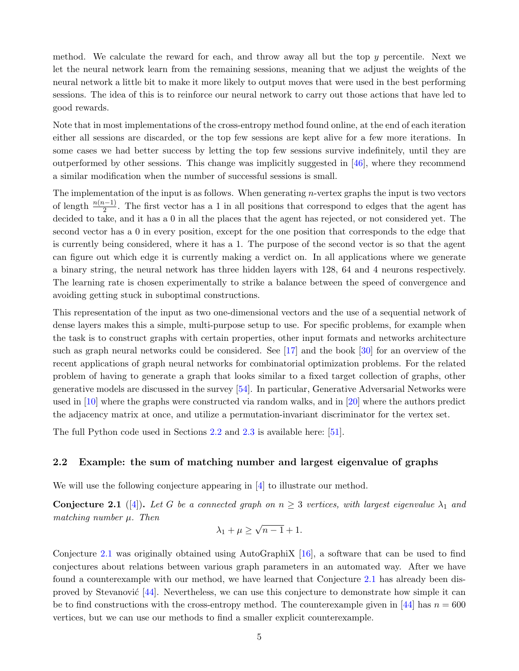method. We calculate the reward for each, and throw away all but the top  $\gamma$  percentile. Next we let the neural network learn from the remaining sessions, meaning that we adjust the weights of the neural network a little bit to make it more likely to output moves that were used in the best performing sessions. The idea of this is to reinforce our neural network to carry out those actions that have led to good rewards.

Note that in most implementations of the cross-entropy method found online, at the end of each iteration either all sessions are discarded, or the top few sessions are kept alive for a few more iterations. In some cases we had better success by letting the top few sessions survive indefinitely, until they are outperformed by other sessions. This change was implicitly suggested in [\[46\]](#page-21-6), where they recommend a similar modification when the number of successful sessions is small.

The implementation of the input is as follows. When generating  $n$ -vertex graphs the input is two vectors of length  $\frac{n(n-1)}{2}$ . The first vector has a 1 in all positions that correspond to edges that the agent has decided to take, and it has a 0 in all the places that the agent has rejected, or not considered yet. The second vector has a 0 in every position, except for the one position that corresponds to the edge that is currently being considered, where it has a 1. The purpose of the second vector is so that the agent can figure out which edge it is currently making a verdict on. In all applications where we generate a binary string, the neural network has three hidden layers with 128, 64 and 4 neurons respectively. The learning rate is chosen experimentally to strike a balance between the speed of convergence and avoiding getting stuck in suboptimal constructions.

This representation of the input as two one-dimensional vectors and the use of a sequential network of dense layers makes this a simple, multi-purpose setup to use. For specific problems, for example when the task is to construct graphs with certain properties, other input formats and networks architecture such as graph neural networks could be considered. See [\[17\]](#page-19-6) and the book [\[30\]](#page-20-6) for an overview of the recent applications of graph neural networks for combinatorial optimization problems. For the related problem of having to generate a graph that looks similar to a fixed target collection of graphs, other generative models are discussed in the survey [\[54\]](#page-22-0). In particular, Generative Adversarial Networks were used in [\[10\]](#page-19-7) where the graphs were constructed via random walks, and in [\[20\]](#page-20-7) where the authors predict the adjacency matrix at once, and utilize a permutation-invariant discriminator for the vertex set.

The full Python code used in Sections [2.2](#page-4-0) and [2.3](#page-5-0) is available here: [\[51\]](#page-21-7).

#### <span id="page-4-0"></span>2.2 Example: the sum of matching number and largest eigenvalue of graphs

We will use the following conjecture appearing in [\[4\]](#page-19-1) to illustrate our method.

<span id="page-4-1"></span>**Conjecture 2.1** ([\[4\]](#page-19-1)). Let G be a connected graph on  $n \geq 3$  vertices, with largest eigenvalue  $\lambda_1$  and matching number  $\mu$ . Then √

$$
\lambda_1 + \mu \ge \sqrt{n-1+1}.
$$

Conjecture [2.1](#page-4-1) was originally obtained using AutoGraphiX [\[16\]](#page-19-8), a software that can be used to find conjectures about relations between various graph parameters in an automated way. After we have found a counterexample with our method, we have learned that Conjecture [2.1](#page-4-1) has already been disproved by Stevanović  $[44]$ . Nevertheless, we can use this conjecture to demonstrate how simple it can be to find constructions with the cross-entropy method. The counterexample given in [\[44\]](#page-21-8) has  $n = 600$ vertices, but we can use our methods to find a smaller explicit counterexample.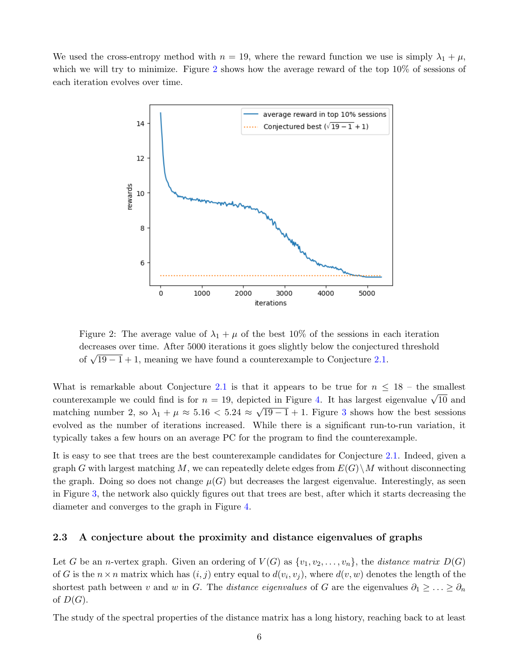<span id="page-5-1"></span>We used the cross-entropy method with  $n = 19$ , where the reward function we use is simply  $\lambda_1 + \mu$ , which we will try to minimize. Figure [2](#page-5-1) shows how the average reward of the top  $10\%$  of sessions of each iteration evolves over time.



Figure 2: The average value of  $\lambda_1 + \mu$  of the best 10% of the sessions in each iteration decreases over time. After 5000 iterations it goes slightly below the conjectured threshold of  $\sqrt{19-1}+1$ , meaning we have found a counterexample to Conjecture [2.1.](#page-4-1)

What is remarkable about Conjecture [2.1](#page-4-1) is that it appears to be true for  $n \leq 18$  – the smallest counterexample we could find is for  $n = 19$ , depicted in Figure [4.](#page-6-0) It has largest eigenvalue  $\sqrt{10}$  and matching number 2, so  $\lambda_1 + \mu \approx 5.16 < 5.24 \approx \sqrt{19-1} + 1$ . Figure [3](#page-6-1) shows how the best sessions evolved as the number of iterations increased. While there is a significant run-to-run variation, it typically takes a few hours on an average PC for the program to find the counterexample.

It is easy to see that trees are the best counterexample candidates for Conjecture [2.1.](#page-4-1) Indeed, given a graph G with largest matching M, we can repeatedly delete edges from  $E(G)\backslash M$  without disconnecting the graph. Doing so does not change  $\mu(G)$  but decreases the largest eigenvalue. Interestingly, as seen in Figure [3,](#page-6-1) the network also quickly figures out that trees are best, after which it starts decreasing the diameter and converges to the graph in Figure [4.](#page-6-0)

#### <span id="page-5-0"></span>2.3 A conjecture about the proximity and distance eigenvalues of graphs

Let G be an *n*-vertex graph. Given an ordering of  $V(G)$  as  $\{v_1, v_2, \ldots, v_n\}$ , the distance matrix  $D(G)$ of G is the  $n \times n$  matrix which has  $(i, j)$  entry equal to  $d(v_i, v_j)$ , where  $d(v, w)$  denotes the length of the shortest path between v and w in G. The distance eigenvalues of G are the eigenvalues  $\partial_1 \geq \ldots \geq \partial_n$ of  $D(G)$ .

The study of the spectral properties of the distance matrix has a long history, reaching back to at least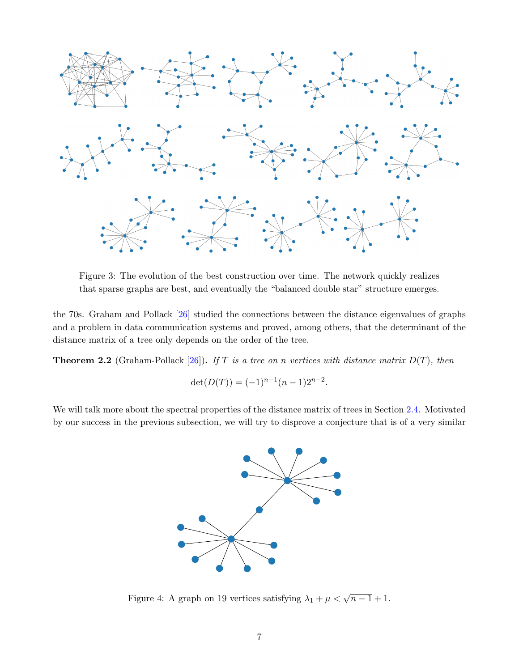<span id="page-6-1"></span>

Figure 3: The evolution of the best construction over time. The network quickly realizes that sparse graphs are best, and eventually the "balanced double star" structure emerges.

the 70s. Graham and Pollack [\[26\]](#page-20-8) studied the connections between the distance eigenvalues of graphs and a problem in data communication systems and proved, among others, that the determinant of the distance matrix of a tree only depends on the order of the tree.

**Theorem 2.2** (Graham-Pollack [\[26\]](#page-20-8)). If T is a tree on n vertices with distance matrix  $D(T)$ , then

$$
\det(D(T)) = (-1)^{n-1}(n-1)2^{n-2}.
$$

<span id="page-6-0"></span>We will talk more about the spectral properties of the distance matrix of trees in Section [2.4.](#page-8-0) Motivated by our success in the previous subsection, we will try to disprove a conjecture that is of a very similar



Figure 4: A graph on 19 vertices satisfying  $\lambda_1 + \mu < \sqrt{n-1} + 1$ .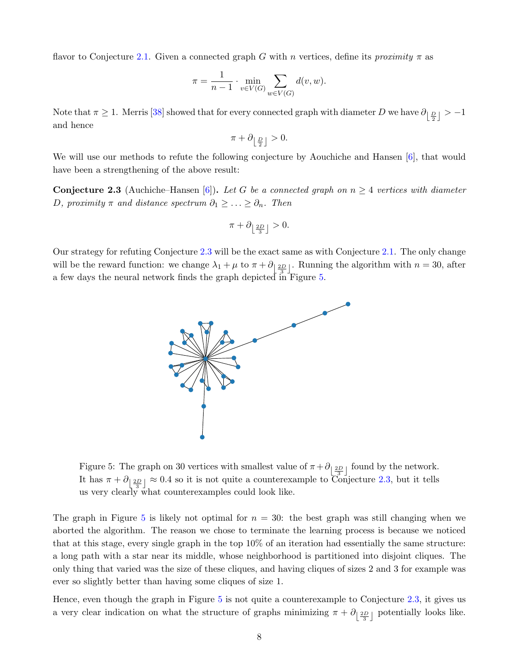flavor to Conjecture [2.1.](#page-4-1) Given a connected graph G with n vertices, define its proximity  $\pi$  as

$$
\pi = \frac{1}{n-1} \cdot \min_{v \in V(G)} \sum_{w \in V(G)} d(v, w).
$$

Note that  $\pi \ge 1$ . Merris [\[38\]](#page-21-9) showed that for every connected graph with diameter D we have  $\partial_{\left[\frac{D}{2}\right]} > -1$ and hence

$$
\pi+\partial_{\left\lfloor \frac{D}{2}\right\rfloor}>0.
$$

We will use our methods to refute the following conjecture by Aouchiche and Hansen [\[6\]](#page-19-2), that would have been a strengthening of the above result:

<span id="page-7-0"></span>**Conjecture 2.3** (Auchiche–Hansen [\[6\]](#page-19-2)). Let G be a connected graph on  $n \geq 4$  vertices with diameter D, proximity  $\pi$  and distance spectrum  $\partial_1 \geq \ldots \geq \partial_n$ . Then

$$
\pi + \partial_{\left\lfloor \frac{2D}{3} \right\rfloor} > 0.
$$

<span id="page-7-1"></span>Our strategy for refuting Conjecture [2.3](#page-7-0) will be the exact same as with Conjecture [2.1.](#page-4-1) The only change will be the reward function: we change  $\lambda_1 + \mu$  to  $\pi + \partial_{\left[\frac{2D}{3}\right]}$ . Running the algorithm with  $n = 30$ , after a few days the neural network finds the graph depicted in Figure [5.](#page-7-1)



Figure 5: The graph on 30 vertices with smallest value of  $\pi + \partial_{\left[\frac{2D}{3}\right]}$  found by the network. It has  $\pi + \partial_{\left[\frac{2D}{3}\right]} \approx 0.4$  so it is not quite a counterexample to Conjecture [2.3,](#page-7-0) but it tells us very clearly what counterexamples could look like.

The graph in Figure [5](#page-7-1) is likely not optimal for  $n = 30$ : the best graph was still changing when we aborted the algorithm. The reason we chose to terminate the learning process is because we noticed that at this stage, every single graph in the top 10% of an iteration had essentially the same structure: a long path with a star near its middle, whose neighborhood is partitioned into disjoint cliques. The only thing that varied was the size of these cliques, and having cliques of sizes 2 and 3 for example was ever so slightly better than having some cliques of size 1.

Hence, even though the graph in Figure [5](#page-7-1) is not quite a counterexample to Conjecture [2.3,](#page-7-0) it gives us a very clear indication on what the structure of graphs minimizing  $\pi + \partial_{\left[\frac{2D}{3}\right]}$  potentially looks like.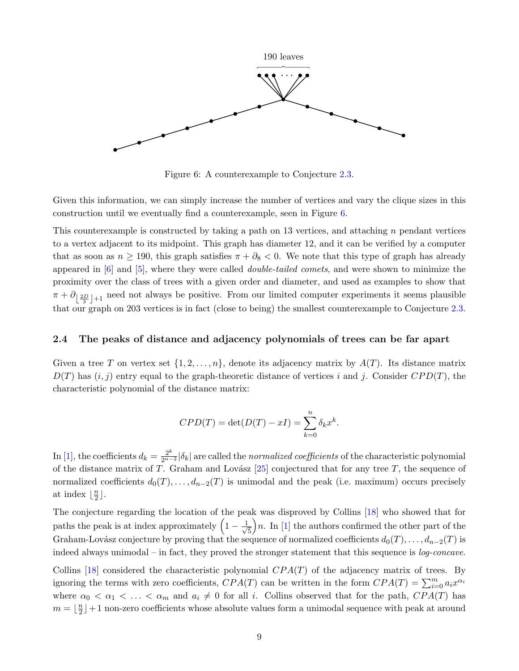<span id="page-8-1"></span>

Figure 6: A counterexample to Conjecture [2.3.](#page-7-0)

Given this information, we can simply increase the number of vertices and vary the clique sizes in this construction until we eventually find a counterexample, seen in Figure [6.](#page-8-1)

This counterexample is constructed by taking a path on 13 vertices, and attaching n pendant vertices to a vertex adjacent to its midpoint. This graph has diameter 12, and it can be verified by a computer that as soon as  $n \ge 190$ , this graph satisfies  $\pi + \partial_8 < 0$ . We note that this type of graph has already appeared in  $[6]$  and  $[5]$ , where they were called *double-tailed comets*, and were shown to minimize the proximity over the class of trees with a given order and diameter, and used as examples to show that  $\pi + \partial_{\left[\frac{2D}{3}\right]+1}$  need not always be positive. From our limited computer experiments it seems plausible that our graph on 203 vertices is in fact (close to being) the smallest counterexample to Conjecture [2.3.](#page-7-0)

#### <span id="page-8-0"></span>2.4 The peaks of distance and adjacency polynomials of trees can be far apart

Given a tree T on vertex set  $\{1, 2, \ldots, n\}$ , denote its adjacency matrix by  $A(T)$ . Its distance matrix  $D(T)$  has  $(i, j)$  entry equal to the graph-theoretic distance of vertices i and j. Consider  $CPD(T)$ , the characteristic polynomial of the distance matrix:

$$
CPD(T) = \det(D(T) - xI) = \sum_{k=0}^{n} \delta_k x^k.
$$

In [\[1\]](#page-19-10), the coefficients  $d_k = \frac{2^k}{2^{n-2}} |\delta_k|$  are called the *normalized coefficients* of the characteristic polynomial of the distance matrix of T. Graham and Lovász  $[25]$  conjectured that for any tree T, the sequence of normalized coefficients  $d_0(T), \ldots, d_{n-2}(T)$  is unimodal and the peak (i.e. maximum) occurs precisely at index  $\frac{n}{2}$  $\frac{n}{2}$ .

The conjecture regarding the location of the peak was disproved by Collins [\[18\]](#page-20-1) who showed that for paths the peak is at index approximately  $\left(1 - \frac{1}{\sqrt{2}}\right)$ 5  $\left\lfloor n$ . In [\[1\]](#page-19-10) the authors confirmed the other part of the Graham-Lovász conjecture by proving that the sequence of normalized coefficients  $d_0(T), \ldots, d_{n-2}(T)$  is indeed always unimodal – in fact, they proved the stronger statement that this sequence is log-concave.

Collins [\[18\]](#page-20-1) considered the characteristic polynomial  $CPA(T)$  of the adjacency matrix of trees. By ignoring the terms with zero coefficients,  $CPA(T)$  can be written in the form  $CPA(T) = \sum_{i=0}^{m} a_i x^{\alpha_i}$ where  $\alpha_0 < \alpha_1 < \ldots < \alpha_m$  and  $a_i \neq 0$  for all i. Collins observed that for the path,  $CPA(T)$  has  $m = \frac{n}{2}$  $\frac{n}{2}$  | +1 non-zero coefficients whose absolute values form a unimodal sequence with peak at around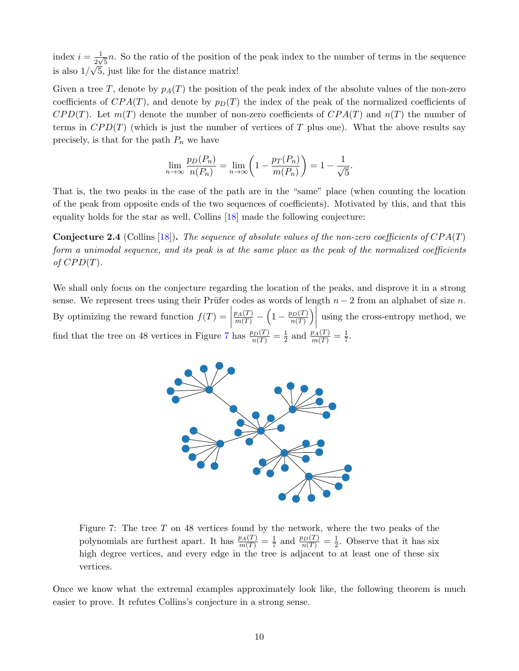index  $i = \frac{1}{2}$  $\frac{1}{2\sqrt{5}}n$ . So the ratio of the position of the peak index to the number of terms in the sequence is also  $1/\sqrt{5}$ , just like for the distance matrix!

Given a tree T, denote by  $p_A(T)$  the position of the peak index of the absolute values of the non-zero coefficients of  $CPA(T)$ , and denote by  $p<sub>D</sub>(T)$  the index of the peak of the normalized coefficients of  $CPD(T)$ . Let  $m(T)$  denote the number of non-zero coefficients of  $CPA(T)$  and  $n(T)$  the number of terms in  $CPD(T)$  (which is just the number of vertices of T plus one). What the above results say precisely, is that for the path  $P_n$  we have

$$
\lim_{n \to \infty} \frac{p_D(P_n)}{n(P_n)} = \lim_{n \to \infty} \left( 1 - \frac{p_T(P_n)}{m(P_n)} \right) = 1 - \frac{1}{\sqrt{5}}.
$$

That is, the two peaks in the case of the path are in the "same" place (when counting the location of the peak from opposite ends of the two sequences of coefficients). Motivated by this, and that this equality holds for the star as well, Collins [\[18\]](#page-20-1) made the following conjecture:

**Conjecture 2.4** (Collins [\[18\]](#page-20-1)). The sequence of absolute values of the non-zero coefficients of  $CPA(T)$ form a unimodal sequence, and its peak is at the same place as the peak of the normalized coefficients of  $CPD(T)$ .

<span id="page-9-0"></span>We shall only focus on the conjecture regarding the location of the peaks, and disprove it in a strong sense. We represent trees using their Prüfer codes as words of length  $n-2$  from an alphabet of size n. By optimizing the reward function  $f(T) =$  $\frac{p_A(T)}{m(T)} - \left(1 - \frac{p_D(T)}{n(T)}\right)$  $\frac{\rho_D(T)}{n(T)}\bigg)$ using the cross-entropy method, we find that the tree on 48 vertices in Figure [7](#page-9-0) has  $\frac{p_D(T)}{n(T)} = \frac{1}{2}$  $\frac{1}{2}$  and  $\frac{p_A(T)}{m(T)} = \frac{1}{7}$  $\frac{1}{7}$ .



Figure 7: The tree  $T$  on 48 vertices found by the network, where the two peaks of the polynomials are furthest apart. It has  $\frac{p_A(T)}{m(T)} = \frac{1}{7}$  $\frac{1}{7}$  and  $\frac{p_D(T)}{n(T)} = \frac{1}{2}$  $\frac{1}{2}$ . Observe that it has six high degree vertices, and every edge in the tree is adjacent to at least one of these six vertices.

Once we know what the extremal examples approximately look like, the following theorem is much easier to prove. It refutes Collins's conjecture in a strong sense.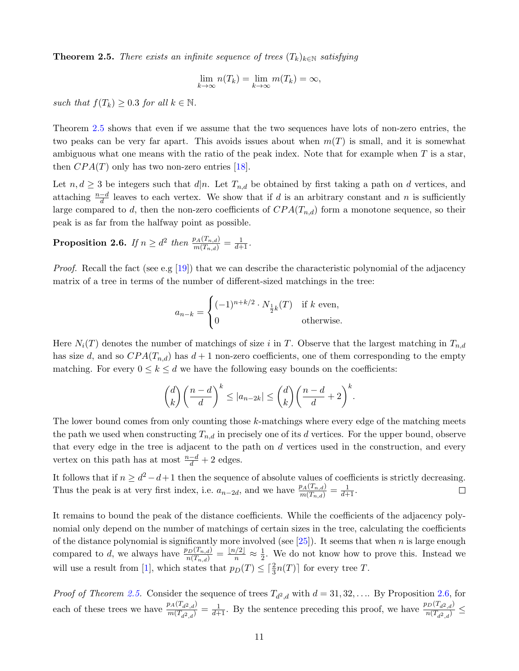<span id="page-10-0"></span>**Theorem 2.5.** There exists an infinite sequence of trees  $(T_k)_{k \in \mathbb{N}}$  satisfying

$$
\lim_{k \to \infty} n(T_k) = \lim_{k \to \infty} m(T_k) = \infty,
$$

such that  $f(T_k) \geq 0.3$  for all  $k \in \mathbb{N}$ .

Theorem [2.5](#page-10-0) shows that even if we assume that the two sequences have lots of non-zero entries, the two peaks can be very far apart. This avoids issues about when  $m(T)$  is small, and it is somewhat ambiguous what one means with the ratio of the peak index. Note that for example when  $T$  is a star, then  $CPA(T)$  only has two non-zero entries [\[18\]](#page-20-1).

Let  $n, d \geq 3$  be integers such that  $d|n$ . Let  $T_{n,d}$  be obtained by first taking a path on d vertices, and attaching  $\frac{n-d}{d}$  leaves to each vertex. We show that if d is an arbitrary constant and n is sufficiently large compared to d, then the non-zero coefficients of  $CPA(T_{n,d})$  form a monotone sequence, so their peak is as far from the halfway point as possible.

<span id="page-10-1"></span>Proposition 2.6. If  $n \geq d^2$  then  $\frac{p_A(T_{n,d})}{m(T_{n,d})} = \frac{1}{d+1}$ .

*Proof.* Recall the fact (see e.g [\[19\]](#page-20-10)) that we can describe the characteristic polynomial of the adjacency matrix of a tree in terms of the number of different-sized matchings in the tree:

$$
a_{n-k} = \begin{cases} (-1)^{n+k/2} \cdot N_{\frac{1}{2}k}(T) & \text{if } k \text{ even,} \\ 0 & \text{otherwise.} \end{cases}
$$

Here  $N_i(T)$  denotes the number of matchings of size i in T. Observe that the largest matching in  $T_{n,d}$ has size d, and so  $CPA(T_{n,d})$  has  $d+1$  non-zero coefficients, one of them corresponding to the empty matching. For every  $0 \le k \le d$  we have the following easy bounds on the coefficients:

$$
\binom{d}{k}\left(\frac{n-d}{d}\right)^k \le |a_{n-2k}| \le \binom{d}{k}\left(\frac{n-d}{d}+2\right)^k.
$$

The lower bound comes from only counting those k-matchings where every edge of the matching meets the path we used when constructing  $T_{n,d}$  in precisely one of its d vertices. For the upper bound, observe that every edge in the tree is adjacent to the path on  $d$  vertices used in the construction, and every vertex on this path has at most  $\frac{n-d}{d} + 2$  edges.

It follows that if  $n \geq d^2 - d + 1$  then the sequence of absolute values of coefficients is strictly decreasing. Thus the peak is at very first index, i.e.  $a_{n-2d}$ , and we have  $\frac{p_A(T_{n,d})}{m(T_{n,d})} = \frac{1}{d+1}$ .  $\Box$ 

It remains to bound the peak of the distance coefficients. While the coefficients of the adjacency polynomial only depend on the number of matchings of certain sizes in the tree, calculating the coefficients of the distance polynomial is significantly more involved (see  $[25]$ ). It seems that when n is large enough compared to d, we always have  $\frac{p_D(T_{n,d})}{n(T_{n,d})} = \frac{\lfloor n/2 \rfloor}{n} \approx \frac{1}{2}$  $\frac{1}{2}$ . We do not know how to prove this. Instead we will use a result from [\[1\]](#page-19-10), which states that  $p_D(T) \leq \lceil \frac{2}{3}n(T) \rceil$  for every tree T.

*Proof of Theorem [2.5.](#page-10-0)* Consider the sequence of trees  $T_{d^2,d}$  with  $d = 31, 32, \ldots$  By Proposition [2.6,](#page-10-1) for each of these trees we have  $\frac{p_A(T_{d^2,d})}{m(T_{d^2,d})} = \frac{1}{d+1}$ . By the sentence preceding this proof, we have  $\frac{p_D(T_{d^2,d})}{n(T_{d^2,d})} \le$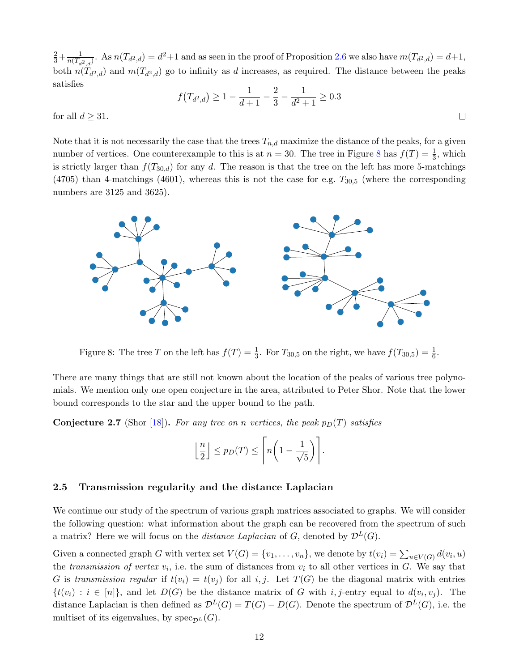$rac{2}{3} + \frac{1}{n(T_d)}$  $\frac{1}{n(T_{d^2,d})}$ . As  $n(T_{d^2,d}) = d^2+1$  and as seen in the proof of Proposition [2.6](#page-10-1) we also have  $m(T_{d^2,d}) = d+1$ , both  $n(T_{d^2,d})$  and  $m(T_{d^2,d})$  go to infinity as d increases, as required. The distance between the peaks satisfies

$$
f(T_{d^2,d}) \ge 1 - \frac{1}{d+1} - \frac{2}{3} - \frac{1}{d^2+1} \ge 0.3
$$

 $\Box$ 

for all  $d \geq 31$ .

Note that it is not necessarily the case that the trees  $T_{n,d}$  maximize the distance of the peaks, for a given number of vertices. One counterexample to this is at  $n = 30$ . The tree in Figure [8](#page-11-1) has  $f(T) = \frac{1}{3}$ , which is strictly larger than  $f(T_{30,d})$  for any d. The reason is that the tree on the left has more 5-matchings  $(4705)$  than 4-matchings  $(4601)$ , whereas this is not the case for e.g.  $T_{30,5}$  (where the corresponding numbers are 3125 and 3625).

<span id="page-11-1"></span>

Figure 8: The tree T on the left has  $f(T) = \frac{1}{3}$ . For  $T_{30,5}$  on the right, we have  $f(T_{30,5}) = \frac{1}{6}$ .

There are many things that are still not known about the location of the peaks of various tree polynomials. We mention only one open conjecture in the area, attributed to Peter Shor. Note that the lower bound corresponds to the star and the upper bound to the path.

**Conjecture 2.7** (Shor [\[18\]](#page-20-1)). For any tree on n vertices, the peak  $p_D(T)$  satisfies

$$
\left\lfloor \frac{n}{2} \right\rfloor \leq p_D(T) \leq \left\lceil n \left( 1 - \frac{1}{\sqrt{5}} \right) \right\rceil.
$$

#### <span id="page-11-0"></span>2.5 Transmission regularity and the distance Laplacian

We continue our study of the spectrum of various graph matrices associated to graphs. We will consider the following question: what information about the graph can be recovered from the spectrum of such a matrix? Here we will focus on the *distance Laplacian* of G, denoted by  $\mathcal{D}^L(G)$ .

Given a connected graph G with vertex set  $V(G) = \{v_1, \ldots, v_n\}$ , we denote by  $t(v_i) = \sum_{u \in V(G)} d(v_i, u)$ the transmission of vertex  $v_i$ , i.e. the sum of distances from  $v_i$  to all other vertices in G. We say that G is transmission regular if  $t(v_i) = t(v_j)$  for all i, j. Let  $T(G)$  be the diagonal matrix with entries  $\{t(v_i) : i \in [n]\},\$ and let  $D(G)$  be the distance matrix of G with i, j-entry equal to  $d(v_i, v_j)$ . The distance Laplacian is then defined as  $\mathcal{D}^{L}(G) = T(G) - D(G)$ . Denote the spectrum of  $\mathcal{D}^{L}(G)$ , i.e. the multiset of its eigenvalues, by  $spec_{\mathcal{D}^L}(G)$ .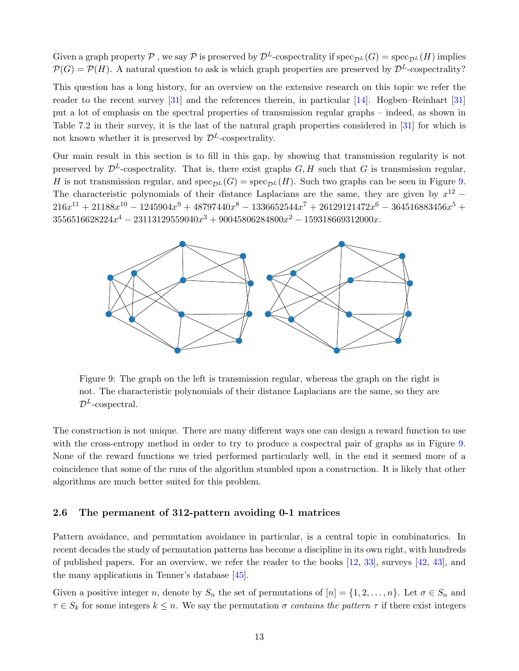Given a graph property P, we say P is preserved by  $\mathcal{D}^L$ -cospectrality if  $spec_{\mathcal{D}^L}(G) = spec_{\mathcal{D}^L}(H)$  implies  $\mathcal{P}(G) = \mathcal{P}(H)$ . A natural question to ask is which graph properties are preserved by  $\mathcal{D}^L$ -cospectrality?

This question has a long history, for an overview on the extensive research on this topic we refer the reader to the recent survey [\[31\]](#page-20-2) and the references therein, in particular [\[14\]](#page-19-11). Hogben–Reinhart [\[31\]](#page-20-2) put a lot of emphasis on the spectral properties of transmission regular graphs – indeed, as shown in Table 7.2 in their survey, it is the last of the natural graph properties considered in [\[31\]](#page-20-2) for which is not known whether it is preserved by  $\mathcal{D}^{L}$ -cospectrality.

Our main result in this section is to fill in this gap, by showing that transmission regularity is not preserved by  $\mathcal{D}^L$ -cospectrality. That is, there exist graphs  $G, H$  such that G is transmission regular, H is not transmission regular, and  $spec_{\mathcal{D}^{L}}(G) = spec_{\mathcal{D}^{L}}(H)$ . Such two graphs can be seen in Figure [9.](#page-12-1) The characteristic polynomials of their distance Laplacians are the same, they are given by  $x^{12}$  –  $216x^{11} + 21188x^{10} - 1245904x^9 + 48797440x^8 - 1336652544x^7 + 26129121472x^6 - 364516883456x^5 +$  $3556516628224x^4 - 23113129559040x^3 + 90045806284800x^2 - 159318669312000x$ .

<span id="page-12-1"></span>

Figure 9: The graph on the left is transmission regular, whereas the graph on the right is not. The characteristic polynomials of their distance Laplacians are the same, so they are  $\mathcal{D}^L$ -cospectral.

The construction is not unique. There are many different ways one can design a reward function to use with the cross-entropy method in order to try to produce a cospectral pair of graphs as in Figure [9.](#page-12-1) None of the reward functions we tried performed particularly well, in the end it seemed more of a coincidence that some of the runs of the algorithm stumbled upon a construction. It is likely that other algorithms are much better suited for this problem.

#### <span id="page-12-0"></span>2.6 The permanent of 312-pattern avoiding 0-1 matrices

Pattern avoidance, and permutation avoidance in particular, is a central topic in combinatorics. In recent decades the study of permutation patterns has become a discipline in its own right, with hundreds of published papers. For an overview, we refer the reader to the books [\[12,](#page-19-12) [33\]](#page-20-11), surveys [\[42,](#page-21-10) [43\]](#page-21-11), and the many applications in Tenner's database [\[45\]](#page-21-12).

Given a positive integer n, denote by  $S_n$  the set of permutations of  $[n] = \{1, 2, \ldots, n\}$ . Let  $\sigma \in S_n$  and  $\tau \in S_k$  for some integers  $k \leq n$ . We say the permutation  $\sigma$  contains the pattern  $\tau$  if there exist integers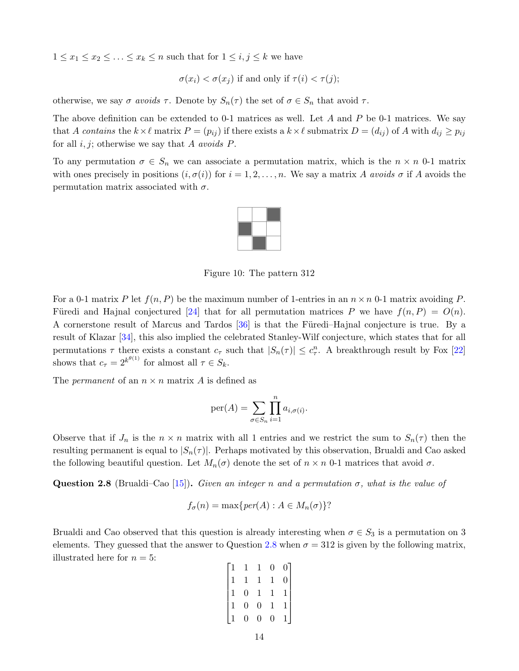$1 \leq x_1 \leq x_2 \leq \ldots \leq x_k \leq n$  such that for  $1 \leq i, j \leq k$  we have

 $\sigma(x_i) < \sigma(x_i)$  if and only if  $\tau(i) < \tau(j)$ ;

otherwise, we say  $\sigma$  avoids  $\tau$ . Denote by  $S_n(\tau)$  the set of  $\sigma \in S_n$  that avoid  $\tau$ .

The above definition can be extended to 0-1 matrices as well. Let  $A$  and  $P$  be 0-1 matrices. We say that A contains the  $k\times\ell$  matrix  $P = (p_{ij})$  if there exists a  $k\times\ell$  submatrix  $D = (d_{ij})$  of A with  $d_{ij} \geq p_{ij}$ for all  $i, j$ ; otherwise we say that A avoids P.

To any permutation  $\sigma \in S_n$  we can associate a permutation matrix, which is the  $n \times n$  0-1 matrix with ones precisely in positions  $(i, \sigma(i))$  for  $i = 1, 2, \ldots, n$ . We say a matrix A avoids  $\sigma$  if A avoids the permutation matrix associated with  $\sigma$ .



Figure 10: The pattern 312

For a 0-1 matrix P let  $f(n, P)$  be the maximum number of 1-entries in an  $n \times n$  0-1 matrix avoiding P. Füredi and Hajnal conjectured [\[24\]](#page-20-12) that for all permutation matrices P we have  $f(n, P) = O(n)$ . A cornerstone result of Marcus and Tardos  $[36]$  is that the Füredi–Hajnal conjecture is true. By a result of Klazar [\[34\]](#page-20-14), this also implied the celebrated Stanley-Wilf conjecture, which states that for all permutations  $\tau$  there exists a constant  $c_{\tau}$  such that  $|S_n(\tau)| \leq c_{\tau}^n$ . A breakthrough result by Fox [\[22\]](#page-20-15) shows that  $c_{\tau} = 2^{k^{\theta(1)}}$  for almost all  $\tau \in S_k$ .

The *permanent* of an  $n \times n$  matrix A is defined as

$$
\text{per}(A) = \sum_{\sigma \in S_n} \prod_{i=1}^n a_{i,\sigma(i)}.
$$

Observe that if  $J_n$  is the  $n \times n$  matrix with all 1 entries and we restrict the sum to  $S_n(\tau)$  then the resulting permanent is equal to  $|S_n(\tau)|$ . Perhaps motivated by this observation, Brualdi and Cao asked the following beautiful question. Let  $M_n(\sigma)$  denote the set of  $n \times n$  0-1 matrices that avoid  $\sigma$ .

<span id="page-13-0"></span>**Question 2.8** (Brualdi–Cao [\[15\]](#page-19-3)). Given an integer n and a permutation  $\sigma$ , what is the value of

$$
f_{\sigma}(n) = \max\{per(A) : A \in M_n(\sigma)\}
$$
?

Brualdi and Cao observed that this question is already interesting when  $\sigma \in S_3$  is a permutation on 3 elements. They guessed that the answer to Question [2.8](#page-13-0) when  $\sigma = 312$  is given by the following matrix, illustrated here for  $n = 5$ :

$$
\begin{bmatrix} 1 & 1 & 1 & 0 & 0 \\ 1 & 1 & 1 & 1 & 0 \\ 1 & 0 & 1 & 1 & 1 \\ 1 & 0 & 0 & 1 & 1 \\ 1 & 0 & 0 & 0 & 1 \end{bmatrix}
$$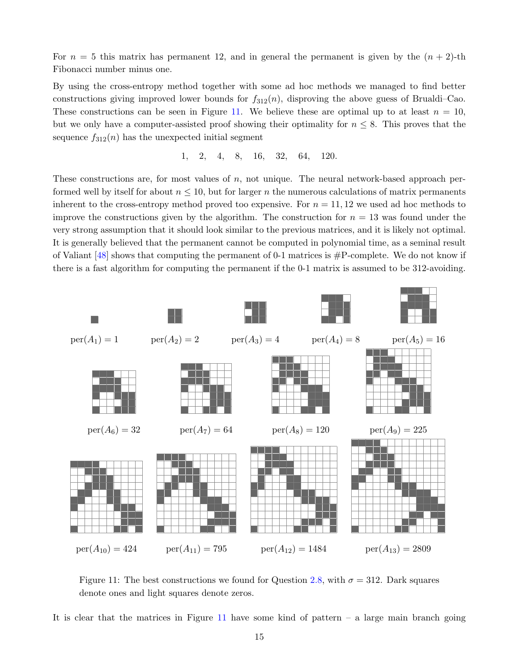For  $n = 5$  this matrix has permanent 12, and in general the permanent is given by the  $(n + 2)$ -th Fibonacci number minus one.

By using the cross-entropy method together with some ad hoc methods we managed to find better constructions giving improved lower bounds for  $f_{312}(n)$ , disproving the above guess of Brualdi–Cao. These constructions can be seen in Figure [11.](#page-14-0) We believe these are optimal up to at least  $n = 10$ , but we only have a computer-assisted proof showing their optimality for  $n \leq 8$ . This proves that the sequence  $f_{312}(n)$  has the unexpected initial segment

$$
1, \quad 2, \quad 4, \quad 8, \quad 16, \quad 32, \quad 64, \quad 120.
$$

These constructions are, for most values of  $n$ , not unique. The neural network-based approach performed well by itself for about  $n \leq 10$ , but for larger n the numerous calculations of matrix permanents inherent to the cross-entropy method proved too expensive. For  $n = 11, 12$  we used ad hoc methods to improve the constructions given by the algorithm. The construction for  $n = 13$  was found under the very strong assumption that it should look similar to the previous matrices, and it is likely not optimal. It is generally believed that the permanent cannot be computed in polynomial time, as a seminal result of Valiant  $[48]$  shows that computing the permanent of 0-1 matrices is  $\#P$ -complete. We do not know if there is a fast algorithm for computing the permanent if the 0-1 matrix is assumed to be 312-avoiding.

<span id="page-14-0"></span>

Figure 11: The best constructions we found for Question [2.8,](#page-13-0) with  $\sigma = 312$ . Dark squares denote ones and light squares denote zeros.

It is clear that the matrices in Figure [11](#page-14-0) have some kind of pattern – a large main branch going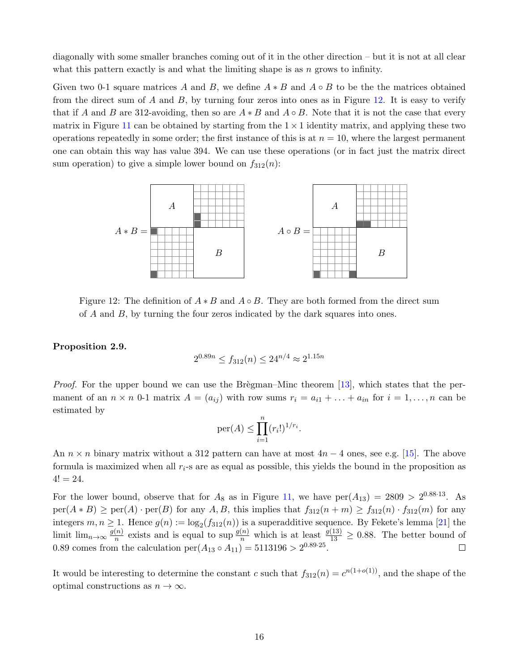diagonally with some smaller branches coming out of it in the other direction – but it is not at all clear what this pattern exactly is and what the limiting shape is as  $n$  grows to infinity.

Given two 0-1 square matrices A and B, we define  $A * B$  and  $A \circ B$  to be the the matrices obtained from the direct sum of A and B, by turning four zeros into ones as in Figure [12.](#page-15-0) It is easy to verify that if A and B are 312-avoiding, then so are  $A * B$  and  $A \circ B$ . Note that it is not the case that every matrix in Figure [11](#page-14-0) can be obtained by starting from the  $1 \times 1$  identity matrix, and applying these two operations repeatedly in some order; the first instance of this is at  $n = 10$ , where the largest permanent one can obtain this way has value 394. We can use these operations (or in fact just the matrix direct sum operation) to give a simple lower bound on  $f_{312}(n)$ :

<span id="page-15-0"></span>

Figure 12: The definition of  $A * B$  and  $A \circ B$ . They are both formed from the direct sum of  $A$  and  $B$ , by turning the four zeros indicated by the dark squares into ones.

#### Proposition 2.9.

$$
2^{0.89n} \le f_{312}(n) \le 24^{n/4} \approx 2^{1.15n}
$$

*Proof.* For the upper bound we can use the Brègman–Minc theorem  $[13]$ , which states that the permanent of an  $n \times n$  0-1 matrix  $A = (a_{ij})$  with row sums  $r_i = a_{i1} + \ldots + a_{in}$  for  $i = 1, \ldots, n$  can be estimated by

$$
\mathrm{per}(A) \le \prod_{i=1}^n (r_i!)^{1/r_i}.
$$

An  $n \times n$  binary matrix without a 312 pattern can have at most  $4n - 4$  ones, see e.g. [\[15\]](#page-19-3). The above formula is maximized when all  $r_i$ -s are as equal as possible, this yields the bound in the proposition as  $4! = 24.$ 

For the lower bound, observe that for  $A_8$  as in Figure [11,](#page-14-0) we have  $per(A_{13}) = 2809 > 2^{0.88 \cdot 13}$ . As  $per(A * B) \geq per(A) \cdot per(B)$  for any A, B, this implies that  $f_{312}(n + m) \geq f_{312}(n) \cdot f_{312}(m)$  for any integers  $m, n \ge 1$ . Hence  $g(n) := \log_2(f_{312}(n))$  is a superadditive sequence. By Fekete's lemma [\[21\]](#page-20-16) the limit lim<sub>n→∞</sub>  $\frac{g(n)}{n}$  $\frac{(n)}{n}$  exists and is equal to sup  $\frac{g(n)}{n}$  which is at least  $\frac{g(13)}{13} \ge 0.88$ . The better bound of 0.89 comes from the calculation  $per(A_{13} \circ A_{11}) = 5113196 > 2^{0.89 \cdot 25}$ .

It would be interesting to determine the constant c such that  $f_{312}(n) = c^{n(1+o(1))}$ , and the shape of the optimal constructions as  $n \to \infty$ .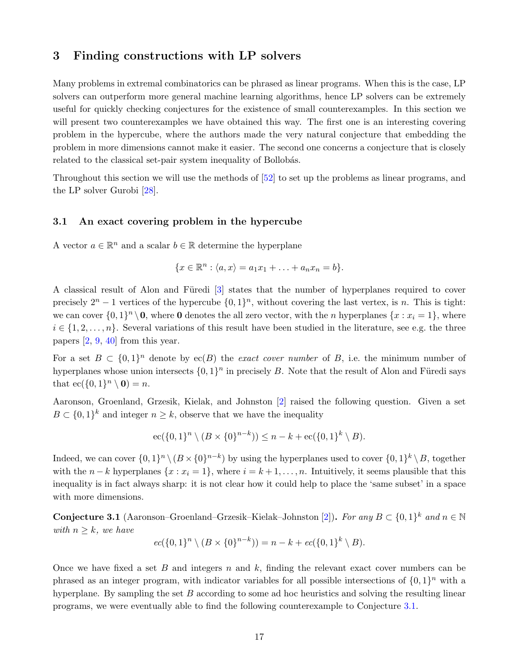## <span id="page-16-0"></span>3 Finding constructions with LP solvers

Many problems in extremal combinatorics can be phrased as linear programs. When this is the case, LP solvers can outperform more general machine learning algorithms, hence LP solvers can be extremely useful for quickly checking conjectures for the existence of small counterexamples. In this section we will present two counterexamples we have obtained this way. The first one is an interesting covering problem in the hypercube, where the authors made the very natural conjecture that embedding the problem in more dimensions cannot make it easier. The second one concerns a conjecture that is closely related to the classical set-pair system inequality of Bollobás.

Throughout this section we will use the methods of [\[52\]](#page-21-14) to set up the problems as linear programs, and the LP solver Gurobi [\[28\]](#page-20-17).

#### <span id="page-16-1"></span>3.1 An exact covering problem in the hypercube

A vector  $a \in \mathbb{R}^n$  and a scalar  $b \in \mathbb{R}$  determine the hyperplane

$$
\{x\in\mathbb{R}^n:\langle a,x\rangle=a_1x_1+\ldots+a_nx_n=b\}.
$$

A classical result of Alon and Füredi [\[3\]](#page-19-14) states that the number of hyperplanes required to cover precisely  $2^{n} - 1$  vertices of the hypercube  $\{0, 1\}^{n}$ , without covering the last vertex, is n. This is tight: we can cover  $\{0,1\}^n \setminus \mathbf{0}$ , where **0** denotes the all zero vector, with the *n* hyperplanes  $\{x : x_i = 1\}$ , where  $i \in \{1, 2, \ldots, n\}$ . Several variations of this result have been studied in the literature, see e.g. the three papers [\[2,](#page-19-4) [9,](#page-19-15) [40\]](#page-21-15) from this year.

For a set  $B \subset \{0,1\}^n$  denote by ec(B) the exact cover number of B, i.e. the minimum number of hyperplanes whose union intersects  $\{0,1\}^n$  in precisely B. Note that the result of Alon and Füredi says that  $ec({0,1}^n \setminus 0) = n$ .

Aaronson, Groenland, Grzesik, Kielak, and Johnston [\[2\]](#page-19-4) raised the following question. Given a set  $B \subset \{0,1\}^k$  and integer  $n \geq k$ , observe that we have the inequality

$$
ec({0,1}n \setminus (B \times {0}n-k)) \le n - k + ec({0,1}k \setminus B).
$$

Indeed, we can cover  $\{0,1\}^n \setminus (B \times \{0\}^{n-k})$  by using the hyperplanes used to cover  $\{0,1\}^k \setminus B$ , together with the  $n - k$  hyperplanes  $\{x : x_i = 1\}$ , where  $i = k + 1, \ldots, n$ . Intuitively, it seems plausible that this inequality is in fact always sharp: it is not clear how it could help to place the 'same subset' in a space with more dimensions.

<span id="page-16-2"></span>**Conjecture 3.1** (Aaronson–Groenland–Grzesik–Kielak–Johnston [\[2\]](#page-19-4)). For any  $B \subset \{0,1\}^k$  and  $n \in \mathbb{N}$ with  $n \geq k$ , we have

$$
ec({0,1}n \setminus (B \times {0}n-k)) = n - k + ec({0,1}k \setminus B).
$$

Once we have fixed a set  $B$  and integers  $n$  and  $k$ , finding the relevant exact cover numbers can be phrased as an integer program, with indicator variables for all possible intersections of  $\{0,1\}^n$  with a hyperplane. By sampling the set  $B$  according to some ad hoc heuristics and solving the resulting linear programs, we were eventually able to find the following counterexample to Conjecture [3.1.](#page-16-2)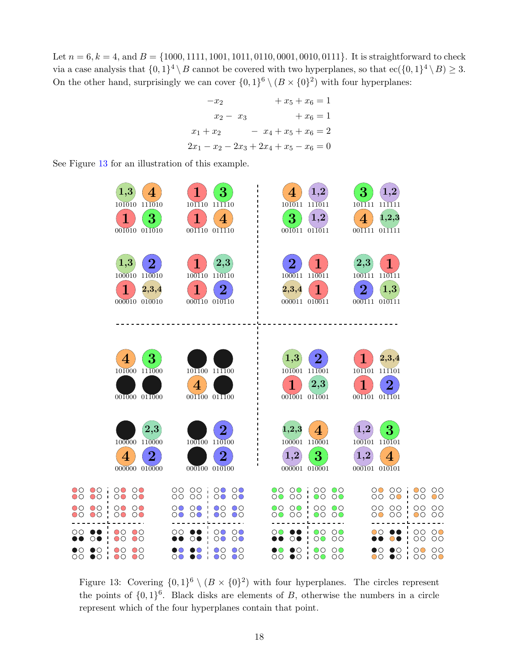Let  $n = 6, k = 4$ , and  $B = \{1000, 1111, 1001, 1011, 0110, 0001, 0010, 0111\}$ . It is straightforward to check via a case analysis that  $\{0,1\}^4 \setminus B$  cannot be covered with two hyperplanes, so that  $\operatorname{ec}(\{0,1\}^4 \setminus B) \geq 3$ . On the other hand, surprisingly we can cover  $\{0,1\}^6 \setminus (B \times \{0\}^2)$  with four hyperplanes:

$$
-x_2 + x_5 + x_6 = 1
$$
  
\n
$$
x_2 - x_3 + x_6 = 1
$$
  
\n
$$
x_1 + x_2 - x_4 + x_5 + x_6 = 2
$$
  
\n
$$
2x_1 - x_2 - 2x_3 + 2x_4 + x_5 - x_6 = 0
$$

See Figure [13](#page-17-0) for an illustration of this example.

<span id="page-17-0"></span>

Figure 13: Covering  $\{0,1\}^6 \setminus (B \times \{0\}^2)$  with four hyperplanes. The circles represent the points of  $\{0,1\}^6$ . Black disks are elements of B, otherwise the numbers in a circle represent which of the four hyperplanes contain that point.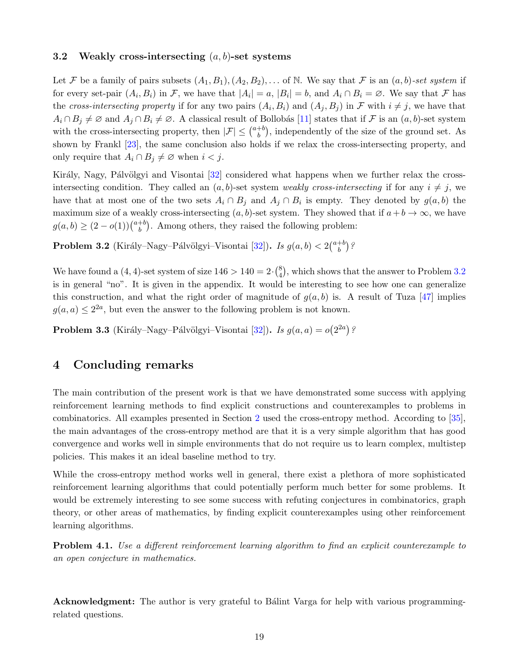#### <span id="page-18-0"></span>3.2 Weakly cross-intersecting  $(a, b)$ -set systems

Let F be a family of pairs subsets  $(A_1, B_1), (A_2, B_2), \ldots$  of N. We say that F is an  $(a, b)$ -set system if for every set-pair  $(A_i, B_i)$  in F, we have that  $|A_i| = a$ ,  $|B_i| = b$ , and  $A_i \cap B_i = \emptyset$ . We say that F has the cross-intersecting property if for any two pairs  $(A_i, B_i)$  and  $(A_j, B_j)$  in F with  $i \neq j$ , we have that  $A_i \cap B_j \neq \emptyset$  and  $A_j \cap B_i \neq \emptyset$ . A classical result of Bollobás [\[11\]](#page-19-16) states that if F is an  $(a, b)$ -set system with the cross-intersecting property, then  $|\mathcal{F}| \leq {a+b \choose b}$  $b<sup>{+b}</sup>$ , independently of the size of the ground set. As shown by Frankl [\[23\]](#page-20-18), the same conclusion also holds if we relax the cross-intersecting property, and only require that  $A_i \cap B_j \neq \emptyset$  when  $i < j$ .

Király, Nagy, Pálvölgyi and Visontai [\[32\]](#page-20-3) considered what happens when we further relax the crossintersecting condition. They called an  $(a, b)$ -set system weakly cross-intersecting if for any  $i \neq j$ , we have that at most one of the two sets  $A_i \cap B_j$  and  $A_j \cap B_i$  is empty. They denoted by  $g(a, b)$  the maximum size of a weakly cross-intersecting  $(a, b)$ -set system. They showed that if  $a + b \to \infty$ , we have  $g(a, b) \geq (2 - o(1))\binom{a+b}{b}$  $b<sup>b</sup>$ . Among others, they raised the following problem:

<span id="page-18-1"></span>**Problem 3.2** (Király–Nagy–Pálvölgyi–Visontai [\[32\]](#page-20-3)). Is  $g(a, b) < 2\binom{a+b}{b}$  $\binom{+b}{b}$ ?

We have found a  $(4, 4)$ -set system of size  $146 > 140 = 2 \cdot {8 \choose 4}$  $_{4}^{8}$ , which shows that the answer to Problem [3.2](#page-18-1) is in general "no". It is given in the appendix. It would be interesting to see how one can generalize this construction, and what the right order of magnitude of  $g(a, b)$  is. A result of Tuza [\[47\]](#page-21-16) implies  $g(a, a) \leq 2^{2a}$ , but even the answer to the following problem is not known.

**Problem 3.3** (Király–Nagy–Pálvölgyi–Visontai [\[32\]](#page-20-3)). Is  $g(a, a) = o(2^{2a})$ ?

### 4 Concluding remarks

The main contribution of the present work is that we have demonstrated some success with applying reinforcement learning methods to find explicit constructions and counterexamples to problems in combinatorics. All examples presented in Section [2](#page-2-0) used the cross-entropy method. According to [\[35\]](#page-20-5), the main advantages of the cross-entropy method are that it is a very simple algorithm that has good convergence and works well in simple environments that do not require us to learn complex, multistep policies. This makes it an ideal baseline method to try.

While the cross-entropy method works well in general, there exist a plethora of more sophisticated reinforcement learning algorithms that could potentially perform much better for some problems. It would be extremely interesting to see some success with refuting conjectures in combinatorics, graph theory, or other areas of mathematics, by finding explicit counterexamples using other reinforcement learning algorithms.

Problem 4.1. Use a different reinforcement learning algorithm to find an explicit counterexample to an open conjecture in mathematics.

Acknowledgment: The author is very grateful to Bálint Varga for help with various programmingrelated questions.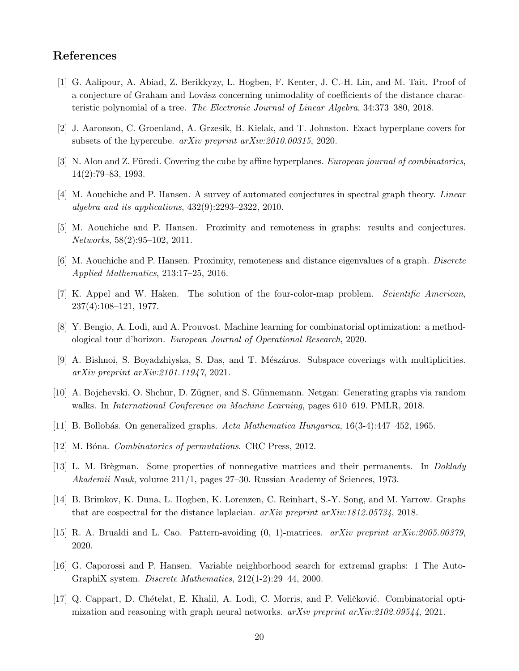# References

- <span id="page-19-10"></span>[1] G. Aalipour, A. Abiad, Z. Berikkyzy, L. Hogben, F. Kenter, J. C.-H. Lin, and M. Tait. Proof of a conjecture of Graham and Lovász concerning unimodality of coefficients of the distance characteristic polynomial of a tree. The Electronic Journal of Linear Algebra, 34:373–380, 2018.
- <span id="page-19-4"></span>[2] J. Aaronson, C. Groenland, A. Grzesik, B. Kielak, and T. Johnston. Exact hyperplane covers for subsets of the hypercube. arXiv preprint arXiv:2010.00315, 2020.
- <span id="page-19-14"></span>[3] N. Alon and Z. Füredi. Covering the cube by affine hyperplanes. *European journal of combinatorics*, 14(2):79–83, 1993.
- <span id="page-19-1"></span>[4] M. Aouchiche and P. Hansen. A survey of automated conjectures in spectral graph theory. Linear algebra and its applications, 432(9):2293–2322, 2010.
- <span id="page-19-9"></span>[5] M. Aouchiche and P. Hansen. Proximity and remoteness in graphs: results and conjectures. Networks, 58(2):95–102, 2011.
- <span id="page-19-2"></span>[6] M. Aouchiche and P. Hansen. Proximity, remoteness and distance eigenvalues of a graph. Discrete Applied Mathematics, 213:17–25, 2016.
- <span id="page-19-0"></span>[7] K. Appel and W. Haken. The solution of the four-color-map problem. Scientific American, 237(4):108–121, 1977.
- <span id="page-19-5"></span>[8] Y. Bengio, A. Lodi, and A. Prouvost. Machine learning for combinatorial optimization: a methodological tour d'horizon. European Journal of Operational Research, 2020.
- <span id="page-19-15"></span>[9] A. Bishnoi, S. Boyadzhiyska, S. Das, and T. Mészáros. Subspace coverings with multiplicities. arXiv preprint arXiv:2101.11947, 2021.
- <span id="page-19-7"></span>[10] A. Bojchevski, O. Shchur, D. Z¨ugner, and S. G¨unnemann. Netgan: Generating graphs via random walks. In *International Conference on Machine Learning*, pages 610–619. PMLR, 2018.
- <span id="page-19-16"></span>[11] B. Bollob´as. On generalized graphs. Acta Mathematica Hungarica, 16(3-4):447–452, 1965.
- <span id="page-19-12"></span>[12] M. Bóna. Combinatorics of permutations. CRC Press, 2012.
- <span id="page-19-13"></span>[13] L. M. Brègman. Some properties of nonnegative matrices and their permanents. In Doklady Akademii Nauk, volume 211/1, pages 27–30. Russian Academy of Sciences, 1973.
- <span id="page-19-11"></span>[14] B. Brimkov, K. Duna, L. Hogben, K. Lorenzen, C. Reinhart, S.-Y. Song, and M. Yarrow. Graphs that are cospectral for the distance laplacian. arXiv preprint arXiv:1812.05734, 2018.
- <span id="page-19-3"></span>[15] R. A. Brualdi and L. Cao. Pattern-avoiding (0, 1)-matrices. arXiv preprint arXiv:2005.00379, 2020.
- <span id="page-19-8"></span>[16] G. Caporossi and P. Hansen. Variable neighborhood search for extremal graphs: 1 The Auto-GraphiX system. Discrete Mathematics, 212(1-2):29–44, 2000.
- <span id="page-19-6"></span>[17] Q. Cappart, D. Chételat, E. Khalil, A. Lodi, C. Morris, and P. Veličković. Combinatorial optimization and reasoning with graph neural networks. arXiv preprint arXiv:2102.09544, 2021.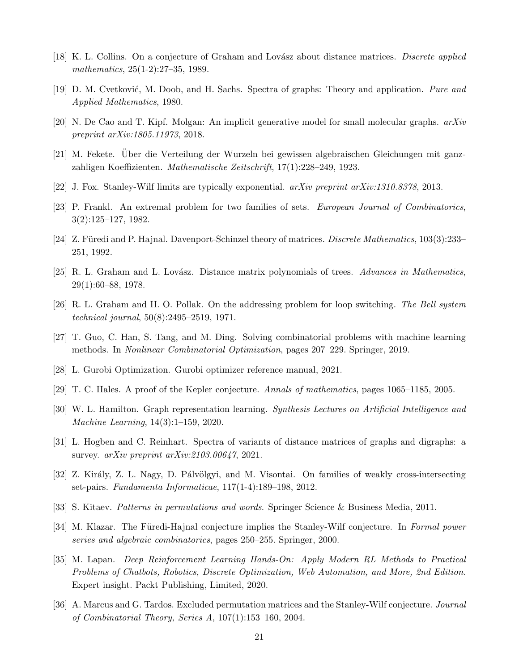- <span id="page-20-1"></span>[18] K. L. Collins. On a conjecture of Graham and Lovász about distance matrices. Discrete applied mathematics, 25(1-2):27–35, 1989.
- <span id="page-20-10"></span>[19] D. M. Cvetković, M. Doob, and H. Sachs. Spectra of graphs: Theory and application. Pure and Applied Mathematics, 1980.
- <span id="page-20-7"></span>[20] N. De Cao and T. Kipf. Molgan: An implicit generative model for small molecular graphs. arXiv preprint arXiv:1805.11973, 2018.
- <span id="page-20-16"></span>[21] M. Fekete. Uber die Verteilung der Wurzeln bei gewissen algebraischen Gleichungen mit ganz- ¨ zahligen Koeffizienten. Mathematische Zeitschrift, 17(1):228–249, 1923.
- <span id="page-20-15"></span>[22] J. Fox. Stanley-Wilf limits are typically exponential. arXiv preprint arXiv:1310.8378, 2013.
- <span id="page-20-18"></span>[23] P. Frankl. An extremal problem for two families of sets. European Journal of Combinatorics, 3(2):125–127, 1982.
- <span id="page-20-12"></span>[24] Z. Füredi and P. Hajnal. Davenport-Schinzel theory of matrices. *Discrete Mathematics*,  $103(3):233-$ 251, 1992.
- <span id="page-20-9"></span>[25] R. L. Graham and L. Lovász. Distance matrix polynomials of trees. Advances in Mathematics, 29(1):60–88, 1978.
- <span id="page-20-8"></span>[26] R. L. Graham and H. O. Pollak. On the addressing problem for loop switching. The Bell system technical journal, 50(8):2495–2519, 1971.
- <span id="page-20-4"></span>[27] T. Guo, C. Han, S. Tang, and M. Ding. Solving combinatorial problems with machine learning methods. In Nonlinear Combinatorial Optimization, pages 207–229. Springer, 2019.
- <span id="page-20-17"></span>[28] L. Gurobi Optimization. Gurobi optimizer reference manual, 2021.
- <span id="page-20-0"></span>[29] T. C. Hales. A proof of the Kepler conjecture. Annals of mathematics, pages 1065–1185, 2005.
- <span id="page-20-6"></span>[30] W. L. Hamilton. Graph representation learning. Synthesis Lectures on Artificial Intelligence and Machine Learning, 14(3):1–159, 2020.
- <span id="page-20-2"></span>[31] L. Hogben and C. Reinhart. Spectra of variants of distance matrices of graphs and digraphs: a survey. *arXiv preprint arXiv:2103.00647*, 2021.
- <span id="page-20-3"></span>[32] Z. Király, Z. L. Nagy, D. Pálvölgyi, and M. Visontai. On families of weakly cross-intersecting set-pairs. Fundamenta Informaticae, 117(1-4):189–198, 2012.
- <span id="page-20-11"></span>[33] S. Kitaev. Patterns in permutations and words. Springer Science & Business Media, 2011.
- <span id="page-20-14"></span>[34] M. Klazar. The Füredi-Hajnal conjecture implies the Stanley-Wilf conjecture. In Formal power series and algebraic combinatorics, pages 250–255. Springer, 2000.
- <span id="page-20-5"></span>[35] M. Lapan. Deep Reinforcement Learning Hands-On: Apply Modern RL Methods to Practical Problems of Chatbots, Robotics, Discrete Optimization, Web Automation, and More, 2nd Edition. Expert insight. Packt Publishing, Limited, 2020.
- <span id="page-20-13"></span>[36] A. Marcus and G. Tardos. Excluded permutation matrices and the Stanley-Wilf conjecture. Journal of Combinatorial Theory, Series A, 107(1):153–160, 2004.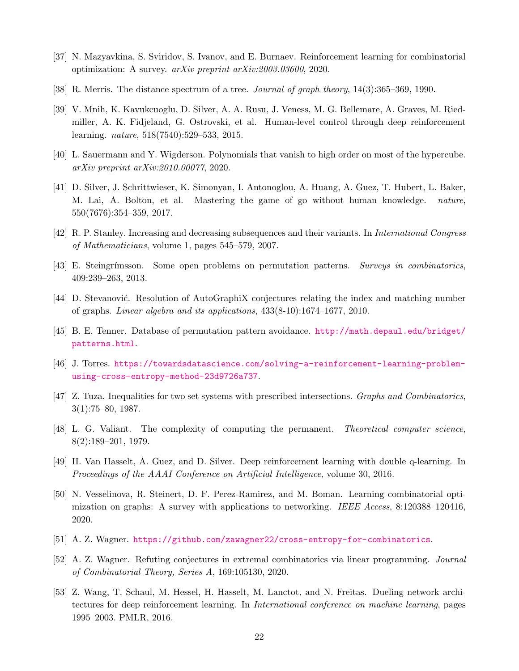- <span id="page-21-4"></span>[37] N. Mazyavkina, S. Sviridov, S. Ivanov, and E. Burnaev. Reinforcement learning for combinatorial optimization: A survey. arXiv preprint arXiv:2003.03600, 2020.
- <span id="page-21-9"></span>[38] R. Merris. The distance spectrum of a tree. Journal of graph theory, 14(3):365–369, 1990.
- <span id="page-21-0"></span>[39] V. Mnih, K. Kavukcuoglu, D. Silver, A. A. Rusu, J. Veness, M. G. Bellemare, A. Graves, M. Riedmiller, A. K. Fidjeland, G. Ostrovski, et al. Human-level control through deep reinforcement learning. nature, 518(7540):529–533, 2015.
- <span id="page-21-15"></span>[40] L. Sauermann and Y. Wigderson. Polynomials that vanish to high order on most of the hypercube. arXiv preprint arXiv:2010.00077, 2020.
- <span id="page-21-1"></span>[41] D. Silver, J. Schrittwieser, K. Simonyan, I. Antonoglou, A. Huang, A. Guez, T. Hubert, L. Baker, M. Lai, A. Bolton, et al. Mastering the game of go without human knowledge. nature, 550(7676):354–359, 2017.
- <span id="page-21-10"></span>[42] R. P. Stanley. Increasing and decreasing subsequences and their variants. In International Congress of Mathematicians, volume 1, pages 545–579, 2007.
- <span id="page-21-11"></span>[43] E. Steingrímsson. Some open problems on permutation patterns. Surveys in combinatorics, 409:239–263, 2013.
- <span id="page-21-8"></span>[44] D. Stevanović. Resolution of AutoGraphiX conjectures relating the index and matching number of graphs. Linear algebra and its applications, 433(8-10):1674–1677, 2010.
- <span id="page-21-12"></span>[45] B. E. Tenner. Database of permutation pattern avoidance. [http://math.depaul.edu/bridget/](http://math.depaul.edu/bridget/patterns.html) [patterns.html](http://math.depaul.edu/bridget/patterns.html).
- <span id="page-21-6"></span>[46] J. Torres. [https://towardsdatascience.com/solving-a-reinforcement-learning-problem](https://towardsdatascience.com/solving-a-reinforcement-learning-problem-using-cross-entropy-method-23d9726a737)[using-cross-entropy-method-23d9726a737](https://towardsdatascience.com/solving-a-reinforcement-learning-problem-using-cross-entropy-method-23d9726a737).
- <span id="page-21-16"></span>[47] Z. Tuza. Inequalities for two set systems with prescribed intersections. Graphs and Combinatorics, 3(1):75–80, 1987.
- <span id="page-21-13"></span>[48] L. G. Valiant. The complexity of computing the permanent. Theoretical computer science, 8(2):189–201, 1979.
- <span id="page-21-2"></span>[49] H. Van Hasselt, A. Guez, and D. Silver. Deep reinforcement learning with double q-learning. In Proceedings of the AAAI Conference on Artificial Intelligence, volume 30, 2016.
- <span id="page-21-5"></span>[50] N. Vesselinova, R. Steinert, D. F. Perez-Ramirez, and M. Boman. Learning combinatorial optimization on graphs: A survey with applications to networking. IEEE Access, 8:120388–120416, 2020.
- <span id="page-21-7"></span>[51] A. Z. Wagner. <https://github.com/zawagner22/cross-entropy-for-combinatorics>.
- <span id="page-21-14"></span>[52] A. Z. Wagner. Refuting conjectures in extremal combinatorics via linear programming. Journal of Combinatorial Theory, Series A, 169:105130, 2020.
- <span id="page-21-3"></span>[53] Z. Wang, T. Schaul, M. Hessel, H. Hasselt, M. Lanctot, and N. Freitas. Dueling network architectures for deep reinforcement learning. In International conference on machine learning, pages 1995–2003. PMLR, 2016.